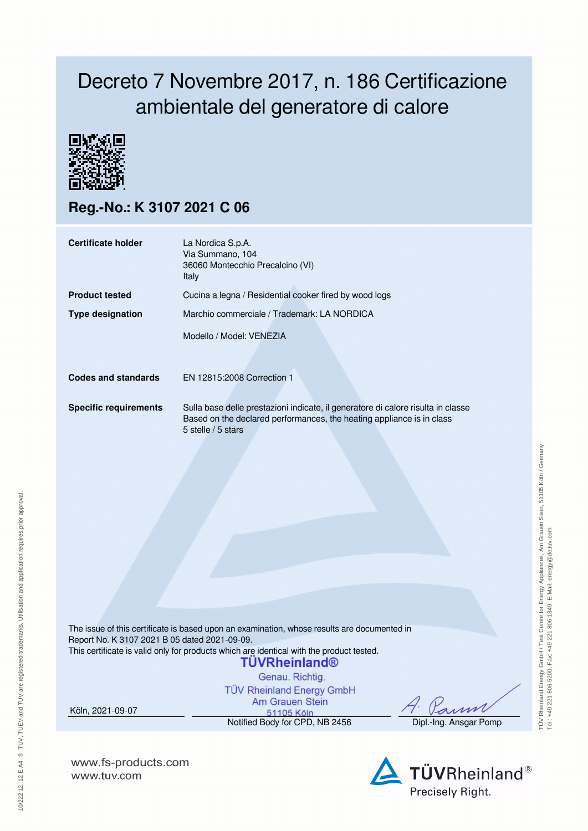## Decreto 7 Novembre 2017, n. 186 Certificazione ambientale del generatore di calore



**Reg.-No.: K 3107 2021 C 06**

| Certificate holder           | La Nordica S.p.A.<br>Via Summano, 104<br>36060 Montecchio Precalcino (VI)<br>Italy                                                                                              |  |  |  |  |
|------------------------------|---------------------------------------------------------------------------------------------------------------------------------------------------------------------------------|--|--|--|--|
| <b>Product tested</b>        | Cucina a legna / Residential cooker fired by wood logs                                                                                                                          |  |  |  |  |
| <b>Type designation</b>      | Marchio commerciale / Trademark: LA NORDICA                                                                                                                                     |  |  |  |  |
|                              | Modello / Model: VENEZIA                                                                                                                                                        |  |  |  |  |
| <b>Codes and standards</b>   | EN 12815:2008 Correction 1                                                                                                                                                      |  |  |  |  |
| <b>Specific requirements</b> | Sulla base delle prestazioni indicate, il generatore di calore risulta in classe<br>Based on the declared performances, the heating appliance is in class<br>5 stelle / 5 stars |  |  |  |  |

The issue of this certificate is based upon an examination, whose results are documented in Report No. K 3107 2021 B 05 dated 2021-09-09. This certificate is valid only for products which are identical with the product tested.

## **TUVRheinland®**

Genau, Richtig. **TÜV Rheinland Energy GmbH** Am Grauen Stein

Köln, 2021-09-07

51105 Köln Notified Body for CPD, NB 2456 Dipl.-Ing. Ansgar Pomp



**www.fs-products.com** www.tuv.com